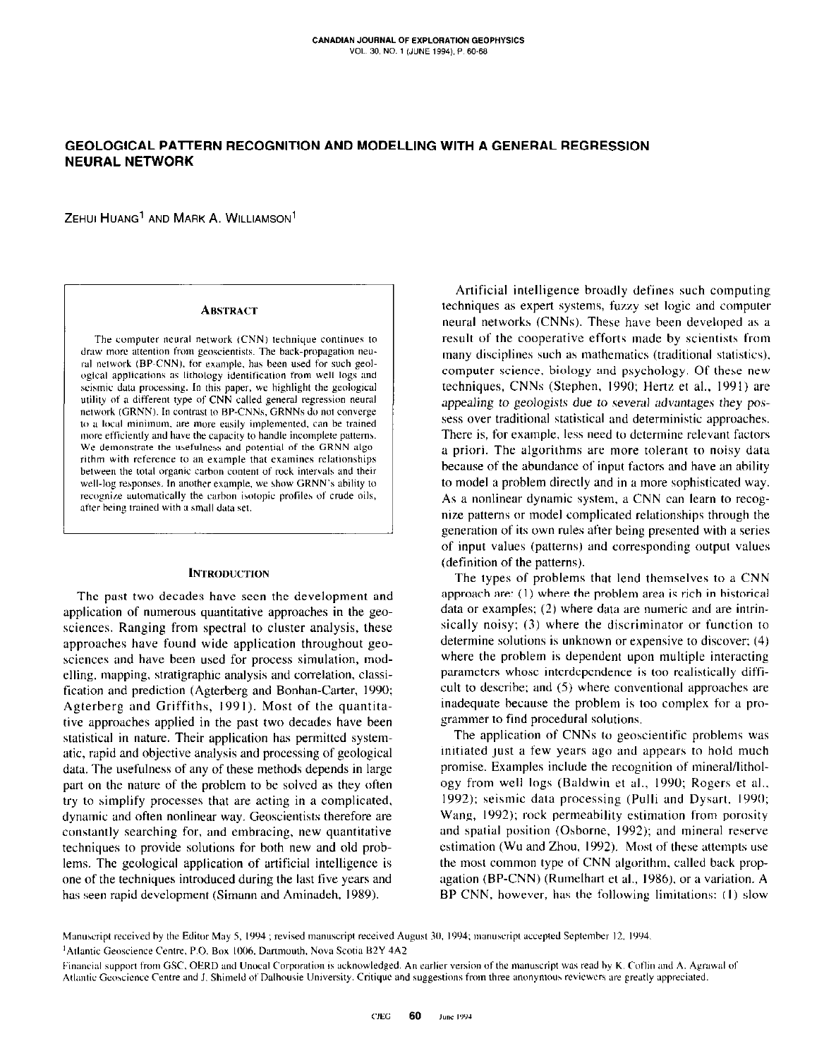# GEOLOGICAL PATTERN RECOGNITION AND MODELLING WITH A GENERAL REGRESSION **NEURAL NETWORK**

ZEHUI HUANG<sup>1</sup> AND MARK A. WILLIAMSON<sup>1</sup>

### **ABSTRACT**

The computer neural network (CNN) technique continues to draw more attention from geoscientists. The back-propagation neural network (BP-CNN), for example, has been used for such geological applications as lithology identification from well logs and seismic data processing. In this paper, we highlight the geological utility of a different type of CNN called general regression neural network (GRNN). In contrast to BP-CNNs, GRNNs do not converge to a local minimum, are more easily implemented, can be trained more efficiently and have the capacity to handle incomplete patterns. We demonstrate the usefulness and potential of the GRNN algorithm with reference to an example that examines relationships between the total organic carbon content of rock intervals and their well-log responses. In another example, we show GRNN's ability to recognize automatically the carbon isotopic profiles of crude oils, after being trained with a small data set.

## **INTRODUCTION**

The past two decades have seen the development and application of numerous quantitative approaches in the geosciences. Ranging from spectral to cluster analysis, these approaches have found wide application throughout geosciences and have been used for process simulation, modelling, mapping, stratigraphic analysis and correlation, classification and prediction (Agterberg and Bonhan-Carter, 1990; Agterberg and Griffiths, 1991). Most of the quantitative approaches applied in the past two decades have been statistical in nature. Their application has permitted systematic, rapid and objective analysis and processing of geological data. The usefulness of any of these methods depends in large part on the nature of the problem to be solved as they often try to simplify processes that are acting in a complicated, dynamic and often nonlinear way. Geoscientists therefore are constantly searching for, and embracing, new quantitative techniques to provide solutions for both new and old problems. The geological application of artificial intelligence is one of the techniques introduced during the last five years and has seen rapid development (Simann and Aminadeh, 1989).

Artificial intelligence broadly defines such computing techniques as expert systems, fuzzy set logic and computer neural networks (CNNs). These have been developed as a result of the cooperative efforts made by scientists from many disciplines such as mathematics (traditional statistics), computer science, biology and psychology. Of these new techniques, CNNs (Stephen, 1990; Hertz et al., 1991) are appealing to geologists due to several advantages they possess over traditional statistical and deterministic approaches. There is, for example, less need to determine relevant factors a priori. The algorithms are more tolerant to noisy data because of the abundance of input factors and have an ability to model a problem directly and in a more sophisticated way. As a nonlinear dynamic system, a CNN can learn to recognize patterns or model complicated relationships through the generation of its own rules after being presented with a series of input values (patterns) and corresponding output values (definition of the patterns).

The types of problems that lend themselves to a CNN approach are: (1) where the problem area is rich in historical data or examples; (2) where data are numeric and are intrinsically noisy; (3) where the discriminator or function to determine solutions is unknown or expensive to discover; (4) where the problem is dependent upon multiple interacting parameters whose interdependence is too realistically difficult to describe; and (5) where conventional approaches are inadequate because the problem is too complex for a programmer to find procedural solutions.

The application of CNNs to geoscientific problems was initiated just a few years ago and appears to hold much promise. Examples include the recognition of mineral/lithology from well logs (Baldwin et al., 1990; Rogers et al., 1992); seismic data processing (Pulli and Dysart, 1990; Wang, 1992); rock permeability estimation from porosity and spatial position (Osborne, 1992); and mineral reserve estimation (Wu and Zhou, 1992). Most of these attempts use the most common type of CNN algorithm, called back propagation (BP-CNN) (Rumelhart et al., 1986), or a variation. A BP-CNN, however, has the following limitations: (1) slow

Manuscript received by the Editor May 5, 1994; revised manuscript received August 30, 1994; manuscript accepted September 12, 1994. <sup>1</sup>Atlantic Geoscience Centre, P.O. Box 1006, Dartmouth, Nova Scotia B2Y 4A2

Financial support from GSC, OERD and Unocal Corporation is acknowledged. An earlier version of the manuscript was read by K. Coflin and A. Agrawal of Atlantic Geoscience Centre and J. Shimeld of Dalhousie University. Critique and suggestions from three anonymous reviewers are greatly appreciated.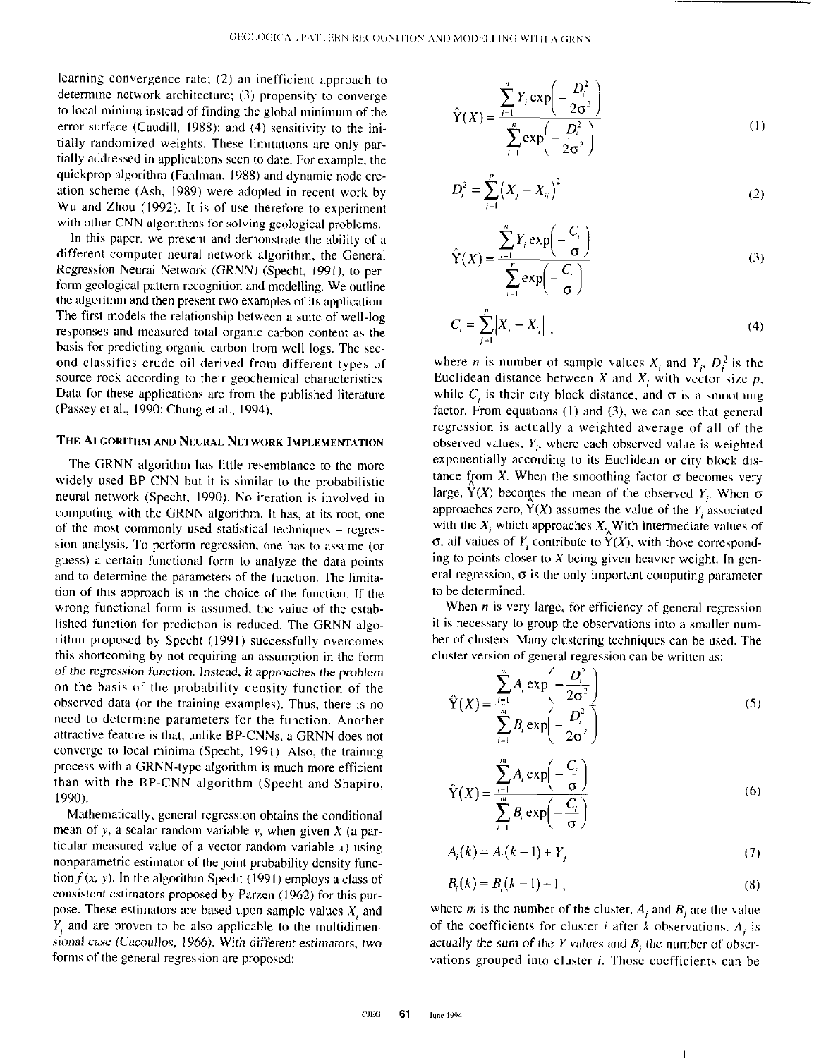learning convergence rate: (2) an inefficient approach to determine network architecture; (3) propensity to converge to local minima instead of finding the global minimum of the error surface (Caudill, 1988); and (4) sensitivity to the initially randomized weights. These limitations are only partially addressed in applications seen to date. For example, the quickprop algorithm (Fuhlman, 1988) and dynamic node creation scheme (Ash, 1989) were adopted in recent work by Wu and Zhou (1992). It is of use therefore to experiment with other CNN algorithms for solving geological problems.

In this paper. we present and demonstrate the ability of a different computer neural network algorithm, the General Regression Neuml Network (GRNN) (Specht, 1991). to perform geological pattern recognition and modelling. We outline the algorithm and then present two examples of its application. The first models the relationship between a suite of well-log responses and measured total organic carbon content as the basis for predicting organic carbon from well logs. The second classifies crude oil derived from different types of source rock according to their geochemical characteristics. Data for these applications arc from the published literature (Passey et al., 1990: Chung et al., 1994).

## THE ALGORITHM AND NEURAL NETWORK IMPLEMENTATION

The CRNN algorithm has little resemblance to the more widely used BP-CNN but it is similar to the probabilistic neural network (Specht, 1990). No iteration is involved in computing with the GRNN algorithm. It has, at its root. one of the most commonly used statistical techniques – regression analysis. To perform regression, one has to assume (or guess) a certain functional form to analyze the data points and to determine the parameters of the function. The limitation of this approach is in the choice of the function. If the wrong functional form is assumed, the value of the established function for prediction is reduced. The GRNN algorithm proposed by Specht (1991) successfully overcomes this shortcoming by not requiring an assumption in the form of the regression function. Instead, it approaches the problem on the basis of the probability density function of the observed data (or the training examples). Thus, there is no need to determine parameters for the function. Another attractive feature is that, unlike BP-CNNs, a GRNN does not converge to local minima (Specht, 1991). Also, the training process with a GRNN-type algorithm is much more efficient than with the BP-CNN algorithm (Specht and Shapiro, I 990).

Mathematically, general regression obtains the conditional mean of y, a scalar random variable y, when given  $X$  (a particular measured value of a vector random variable  $x$ ) using nonparametric estimator of the joint probability density function  $f(x, y)$ . In the algorithm Specht (1991) employs a class of consistent estimators proposed by Parzen (1962) for this purpose. These estimators are based upon sample values  $X_i$  and  $Y$ , and are proven to be also applicable to the multidimensional case (Cacoullos, 1966). With different estimators, two forms of the general regression are proposed:

$$
\hat{Y}(X) = \frac{\sum_{i=1}^{n} Y_i \exp\left(-\frac{D_i^2}{2\sigma^2}\right)}{\sum_{i=1}^{n} \exp\left(-\frac{D_i^2}{2\sigma^2}\right)}
$$
(1)

$$
D_i^2 = \sum_{j=1}^p (X_j - X_{ij})^2
$$
 (2)

$$
\hat{Y}(X) = \frac{\sum_{i=1}^{n} Y_i \exp\left(-\frac{C_i}{\sigma}\right)}{\sum_{i=1}^{n} \exp\left(-\frac{C_i}{\sigma}\right)}
$$
(3)

$$
C_i = \sum_{j=1}^{p} |X_j - X_{ij}| \tag{4}
$$

where *n* is number of sample values  $X_i$  and  $Y_i$ ,  $D_i^2$  is the Euclidean distance between X and  $X_i$  with vector size p, while  $C_i$  is their city block distance, and  $\sigma$  is a smoothing factor. From equations  $(1)$  and  $(3)$ , we can see that general regression is actually a weighted average of all of the observed values,  $Y_i$ , where each observed value is weighted exponentially according to its Euclidean or city block distance from X. When the smoothing factor  $\sigma$  becomes very large,  $\hat{Y}(X)$  becomes the mean of the observed  $Y_i$ . When  $\sigma$ approaches zero,  $\dot{Y}(X)$  assumes the value of the Y<sub>i</sub> associated with the  $X_i$  which approaches  $X_i$ . With intermediate values of  $\sigma$ , all values of Y; contribute to  $\hat{Y}(X)$ , with those corresponding to points closer to  $X$  being given heavier weight. In general regression,  $\sigma$  is the only important computing parameter to be determined.

When  $n$  is very large, for efficiency of general regression it is necessary to group the observations into a smaller number of clusters. Many clustering techniques can he used. The cluster version of general regression can he written as:

$$
\hat{Y}(X) = \frac{\sum_{i=1}^{m} A_i \exp\left(-\frac{D_i^2}{2\sigma^2}\right)}{\sum_{i=1}^{m} B_i \exp\left(-\frac{D_i^2}{2\sigma^2}\right)}
$$
(5)

$$
\hat{Y}(X) = \frac{\sum_{i=1}^{m} A_i \exp\left(-\frac{C_i}{\sigma}\right)}{\sum_{i=1}^{m} B_i \exp\left(-\frac{C_i}{\sigma}\right)}
$$
(6)

$$
A_i(k) = A_i(k-1) + Y_j
$$
 (7)

$$
B_i(k) = B_i(k-1) + 1,
$$
\n(8)

where *m* is the number of the cluster,  $A_i$  and  $B_i$  are the value of the coefficients for cluster i after k observations.  $A_i$  is actually the sum of the Y values and  $B_i$ ; the number of observations grouped into cluster  $i$ . Those coefficients can be

I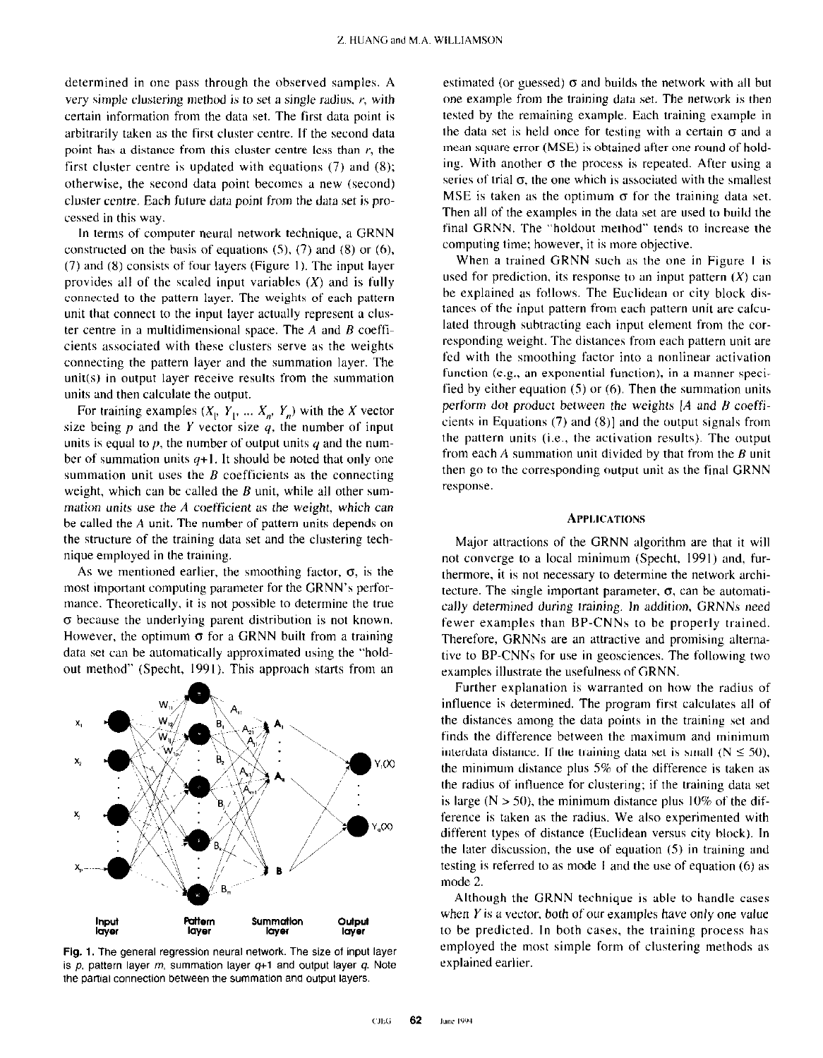determined in one pass through the observed samples. A very simple clustering method is to set a single radius,  $r$ , with certain information from the data set. The first date point is arbitrarily taken as the first cluster centre. If the second data point has a distance from this cluster centre less than  $r$ , the first cluster centre is updated with equations (7) and (8); otherwise, the second data point becomes a new (second) cluster centre. Each future data point from the data set is processed in this way.

In terms of computer neural network technique, a GRNN constructed on the basis of equations  $(5)$ ,  $(7)$  and  $(8)$  or  $(6)$ ,  $(7)$  and  $(8)$  consists of four layers (Figure 1). The input layer provides all of the scaled input variables  $(X)$  and is fully connected to the pattern layer. The weights of each pattern unit that connect to the input layer actually represent a cluster centre in a multidimensional space. The  $A$  and  $B$  coefficients associated with these clusters serve as the weights connecting the pattern layer and the summation layer. The unit(s) in output layer receive results from the summation units and then calculate the output.

For training examples  $(X_1, Y_1, ..., X_n, Y_n)$  with the X vector size being  $p$  and the Y vector size  $q$ , the number of input units is equal to  $p$ , the number of output units  $q$  and the number of summation units  $q+1$ . It should be noted that only one summation unit uses the  $B$  coefficients as the connecting weight, which can be called the  $B$  unit, while all other summation units use the  $A$  coefficient as the weight, which can be called the A unit. The number of pattern units depends on the structure of the training data set and the clustering technique employed in the training.

As we mentioned earlier, the smoothing factor,  $\sigma$ , is the most important computing parameter for the GRNN's performance. Theoretically, it is not possible to determine the true  $\sigma$  because the underlying parent distribution is not known. However, the optimum  $\sigma$  for a GRNN built from a training data set can be automatically approximated using the "holdout method" (Specht, 1991). This approach starts from an



Fig. 1. The general regression neural network. The size of input layer is  $p$ , pattern layer  $m$ , summation layer  $q+1$  and output layer  $q$ . Note the partial connection between the summation and output layers.

estimated (or guessed)  $\sigma$  and builds the network with all but one example from the training data set. The network is then tested by the remaining example. Each training example in the data set is held once for testing with a certain  $\sigma$  and a mean square error (MSE) is obtained after one round of holding. With another  $\sigma$  the process is repeated. After using a series of trial  $\sigma$ , the one which is associated with the smallest MSE is taken as the optimum  $\sigma$  for the training data set. Then all of the examples in the data set are used to build the final GRNN. The "holdout method" tends to increase the computing time; however, it is more objective.

When a trained GRNN such as the one in Figure 1 is used for prediction, its response to an input pattern  $(X)$  can be explained as follows. The Euclidean or city block distances of the input pattern from each pattern unit are calculated through subtracting each input element from the corresponding weight. The distances from each pattern unit are fed with the smoothing factor into a nonlinear activation function (e.g., an exponential function), in a manner specified by either equation (S) or (6). Then the summation units perform dot product between the weights  $[A]$  and  $B$  coefficients in Equations  $(7)$  and  $(8)$ ] and the output signals from the pattern units (i.e., the activation results). The output from each  $\vec{A}$  summation unit divided by that from the  $\vec{B}$  unit then go to the corresponding output unit as the final GRNN response.

## **APPLICATIONS**

Major attractions of the GRNN algorithm are that it will not converge to a local minimum (Specht, 1991) and, furthermore, it is not necessary to determine the network architecture. The single important parameter,  $\sigma$ , can be automatically determined during training. In addition, GRNNs need fewer examples than BP-CNNs to be properly trained. Therefore, GRNNs are an attractive and promising alternative to BP-CNNs for use in geosciences. The following two examples illustrate the usefulness of GRNN.

Further explanation is warranted on how the radius of influence is determined. The program first calculates all of the distances among the data points in the training set and finds the difference between the maximum and minimum interdata distance. If the training data set is small ( $N \le 50$ ), the minimum distance plus  $5\%$  of the difference is taken as the radius of intluence for clustering; if the training data set is large ( $N > 50$ ), the minimum distance plus 10% of the difference is taken as the radius. We also experimented with different types of distance (Euclidean versus city block). In the later discussion, the use of equation (5) in training and testing is referred to as mode I and the use of equation (6) as mode 2.

Although the GRNN technique is able to handle cases when  $Y$  is a vector, both of our examples have only one value to be predicted. In both cases, the training process has employed the most simple form of clustering methods as explained earlier.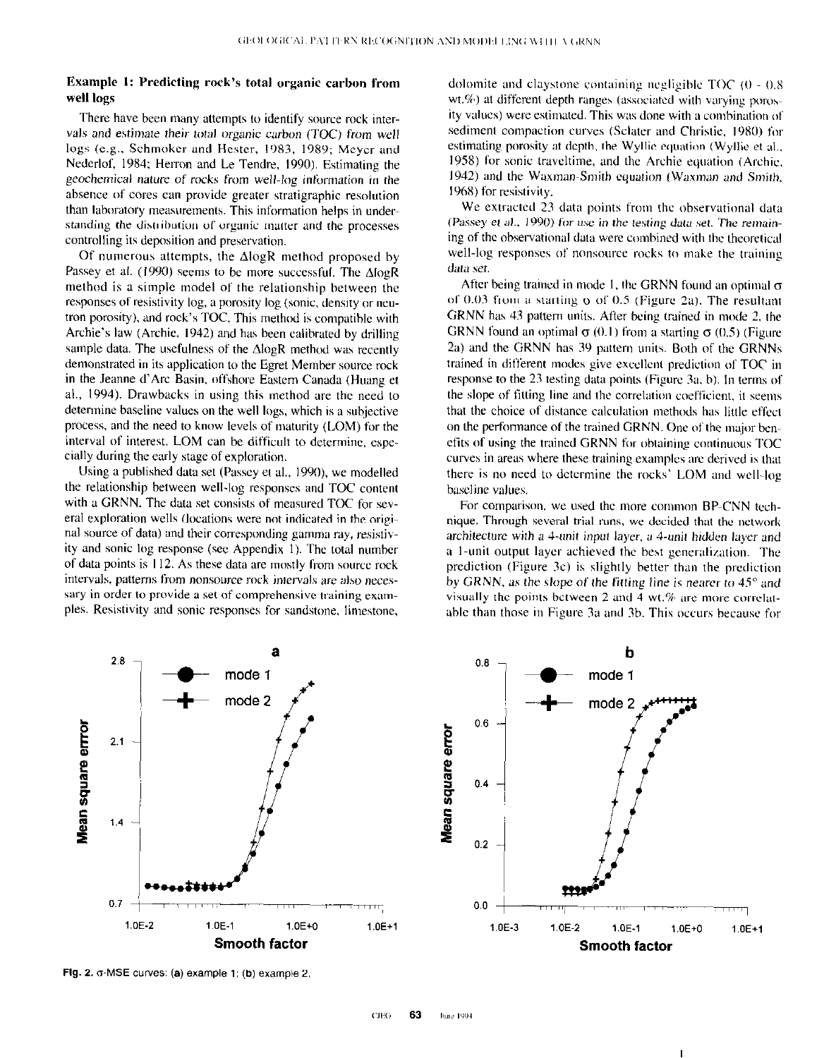# Example 1: Predicting rock's total organic carbon from well logs

There have been many attempts to identify source rock intervals and estimate their total organic carbon (TOC) from well logs (e.g., Schmoker and Hester, 1983, 1989; Meyer and Nederlof, 1984: Herron and Le Tendre, 1990). Estimating the geochemical nature of rocks from well-log information in the absence of cores can provide greater stratigraphic resolution than laboratory measurements. This information helps in understanding the distribution of organic matter and the processes controlling its deposition and preservation.

Of numerous attempts, the  $\Delta$ logR method proposed by Passey et al. (1990) seems to be more successful. The  $\triangle I$ logR method is a simple model of the relationship between the responses of resistivity log, a porosity log (sonic, density or ncutron porosity). and rock's TOC. This method is compatible with Archie's law (Archie, 1942) and has been calibrated by drilling sample data. The usefulness of the  $\triangle logR$  method was recently demonstrated in its application to the Egret Member source rock in the Jeanne d'Arc Basin, offshore Eastern Canada (Huang et al., 1994). Drawbacks in using this method are the need to determine baseline values on the well logs, which is a subjective process, and the need to know levels of maturity (LOM) for the interval of interest. LOM can be difficult to determine, especially during the early stage of exploration.

Using a published data set (Passey et al., 1990), we modelled the relationship between well-log responses and TOC content with a GRNN. The data set consists of measured TOC for several exploration wells (locations were not indicated in the original source of data) and their corresponding gamma ray, resistivity and sonic log response (see Appendix I). The total number of data points is I 12. As these data are mostly from source rock intervals, patterns from nonsource rock intervals are also necessary in order to provide a set of comprehensive training exanpies. Resistivity and sonic responses for sandstone, limestone,

dolomite and claystone containing negligible  $TOC$  (0 - 0.8)  $wt.\%$ ) at different depth ranges (associated with varying porosity values) were estimated. This was done with a combination of sediment compaction curves (Sclater and Christie. 1980) for estimating porosity at depth. the Wyllic equation (Wyllie et al.. 1958) for sonic traveltime, and the Archie equation (Archie, 1942) and the Waxman-Smith equation (Waxman and Smith, 1968) for resistivity.

We extracted 23 data points from the observational data (Passey et al., 1990) for use in the testing data set. The remaining of the obsewational data were combined with the theoretical well-log responses of nonsource rocks to make the training deta set.

After being trained in mode 1, the GRNN found an optimal  $\sigma$ of 0.03 from a starting  $\sigma$  of 0.5 (Figure 2a). The resultant GRNN has 43 pattern units. After being trained in mode 2, the GRNN found an optimal  $\sigma$  (0.1) from a starting  $\sigma$  (0.5) (Figure 2a) and the GRNN has 39 pattern units. Both of the GRNNs trained in dil'ferent modes give excellent prediction of TOC in response to the 23 testing data points (Figure 3a, b). In terms of the slope of fitting line and the correlation coefficient, it seems that the choice of distance calculation methods has little effect on the performance of the trained GRNN. One of the major benefits of using the trained GRNN for obtaining continuous TOC curves in areas where these training examples are derived is that there is no need to determine the rocks' LOM and well-log baseline values.

For comparison, we used the more common BP-CNN technique. Through several trial runs, we decided that the network architecture with a 4-unit input layer, a 4-unit hidden layer and a 1-unit output layer achieved the best generalization. The prediction (Figure 3c) is slightly better than the prediction by GRNN, as the slope of the fitting line is nearer to  $45^\circ$  and visually the points between 2 and 4 wt. $%$  are more correlatable than those in Figure 3a and 3b. This occurs because for





Fig. 2.  $\sigma$ -MSE curves: (a) example 1; (b) example 2.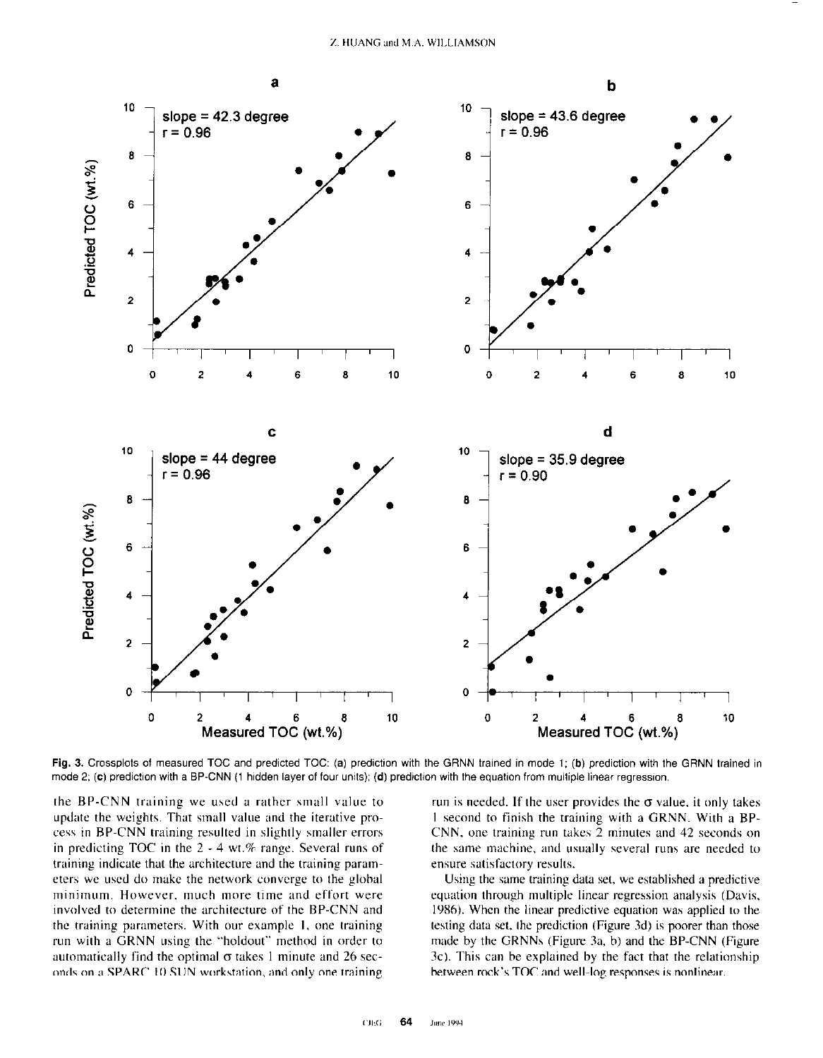

Fig. 3. Crossplots of measured TOC and predicted TOC: (a) prediction with the GRNN trained in mode 1; (b) prediction with the GRNN trained in mode 2; (c) prediction with a BP-CNN (1 hidden layer of four units); (d) prediction with the equation from multiple linear regression.

the BP-CNN training we used a rather small value to update the weights. That small value and the iterative process in BP-CNN training resulted in slightly smaller errors in predicting TOC in the  $2 - 4$  wt.% range. Several runs of training indicate that the architecture and the training parameters we used do make the network converge to the global minimum. However, much more time and effort were involved to determine the architecture of the BP-CNN and the training parameters. With our example 1, one training run with a GRNN using the "holdout" method in order to automatically find the optimal  $\sigma$  takes 1 minute and 26 seconds on a SPARC IO SUN workstation. and only one training run is needed. If the user provides the  $\sigma$  value, it only takes I second to finish the training with a GRNN. With a BP-CNN, one training run takes 2 minutes and 42 seconds on the sane machine. and usually several runs are needed to ensure satisfactory results.

Using the same training data set, we established a predictive equation through multiple linear regression analysis (Davis, 1986). When the linear predictive equation was applied to the testing data set, the prediction (Figure 3d) is poorer than those made by the GRNNs (Figure 3a, b) and the BP-CNN (Figure 3c). This can be explained by the fact that the relationship between rock's TOC and well-log responses is nonlinear.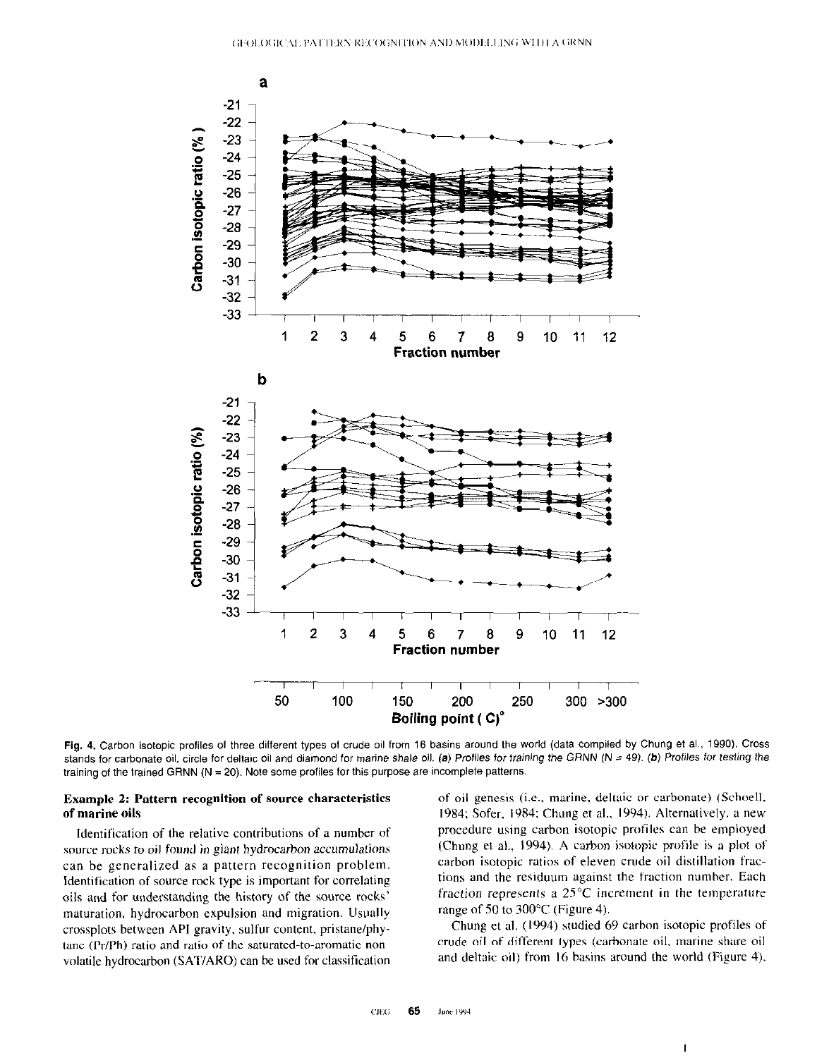

Fig. 4. Carbon isotopic profiles of three different types of crude oil from 16 basins around the world (data compiled by Chung et al., 1990). Cross stands for carbonate oil, circle for deltaic oil and diamond for marine shale oil. (a) Profiles for training the GRNN (N = 49). (b) Profiles for testing the training of the trained GRNN (N = 20). Note some profiles for this purpose are incomplete patterns.

source rocks to oil found in giant hydrocarbon accumulations (Chung et al., 1994). A carbon isotopic profile is a plot of can be generalized as a pattern recognition problem. carbon isotopic ratios of eleven crude oil distillation frac-Identification of source rock type is important for correlating tions and the residuum against the fraction number. Each oils and for understanding the history of the source rocks' fraction represents a 25°C increment in the temperature maturation, hydrocarbon expulsion and migration. Usually range of 50 to 300°C (Figure 4). crossplots between API gravity. sulfur content. pristane/phy- Chung et al. (1994) studied 69 carbon isotopic profiles of tane  $(Pr/Ph)$  ratio and ratio of the saturated-to-aromatic non- crude oil of different types (carbonate oil, marine share oil volatile hydrocarbon (SAT/ARO) can be used for classification and deltaic oil) from I6 basins around the world (Figure 4).

**Example 2: Pattern recognition of source characteristics** of oil genesis (i.e., marine, deltaic or carbonate) (Schoell, of marine oils 1984; Sofer, 1984; Chung et al., 1994). Alternatively, a new Identification of the relative contributions of a number of procedure using carbon isotopic profiles can be employed

 $\mathbf{I}$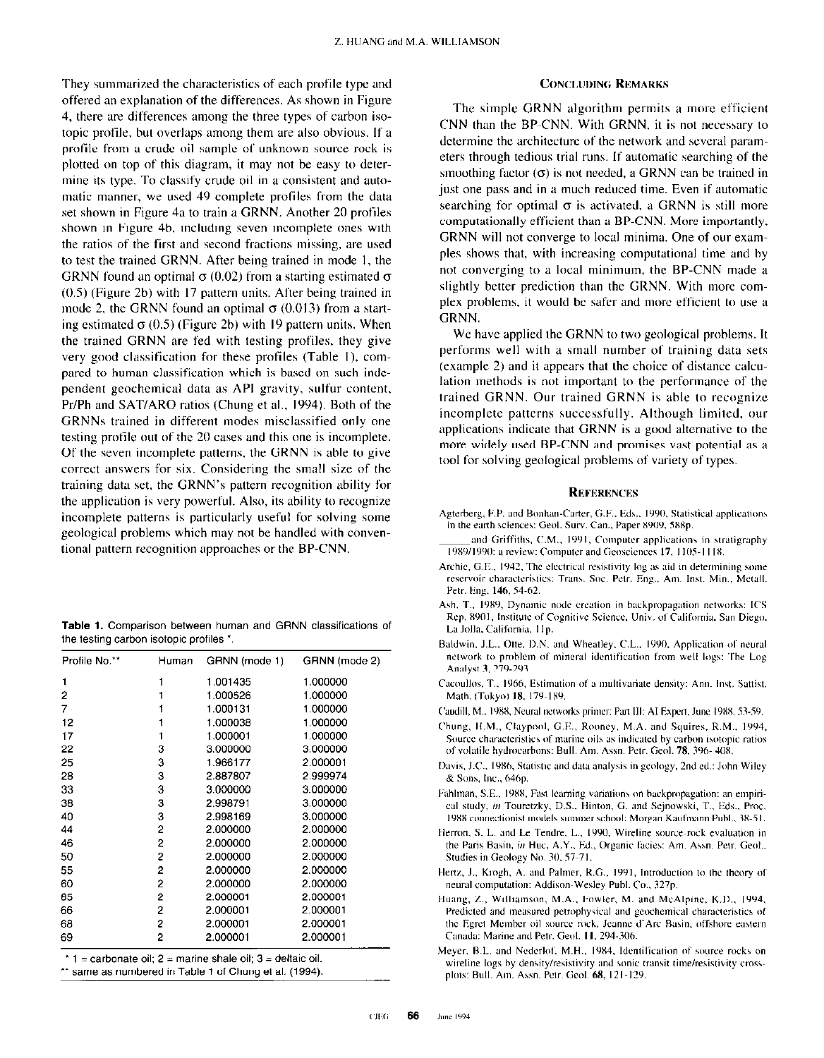They summarized the characteristics of each profile type and offered an explanation of the differences. As shown in Figure 4, there are differences among the three types of carbon isotopic profile, hut overlaps among them are also obvious. If a profile from a crude oil sample of unknown source rock is plotted on top of this diagram, it may not he easy to detrrmine its type. To classify crude oil in a consistent and automatic manner, we used 49 complete profiles from the data set shown in Figure 4a to train a GRNN. Another 20 profiles shown in Figure 4h, including seven incomplete ones with the ratios of the first and second fractions missing, are used to test the trained GRNN. After being trained in mode I, the GRNN found an optimal  $\sigma$  (0.02) from a starting estimated  $\sigma$ (0.5) (Figure 2h) with I7 pattern units. After being trained in mode 2, the GRNN found an optimal  $\sigma$  (0.013) from a starting estimated  $\sigma$  (0.5) (Figure 2b) with 19 pattern units. When the trained GRNN are fed with testing profiles, they give very good classification for these profiles (Table 1), compared to human classification which is based on such independent geochemical data as API gravity, sulfur content, Pr/Ph and SAT/ARO ratios (Chung et al., 1994). Both of the GRNNs trained in different modes misclassified only one testing profile out of the 20 cases and this one is incomplete. Of the seven incomplete patterns, the GRNN is able to give correct answers for six. Considering the small size of the training data set, the GRNN's pattern recognition ability for the application is very powerful. Also, its ability to recognize incomplete patterns is particularly useful for solving some geological problems which may not be handled with conventional pattern recognition approaches or the BP-CNN.

|  |  |                                        |  | <b>Table 1.</b> Comparison between human and GRNN classifications of |  |
|--|--|----------------------------------------|--|----------------------------------------------------------------------|--|
|  |  | the testing carbon isotopic profiles * |  |                                                                      |  |

| Profile No.** | Human | GRNN (mode 1) | GRNN (mode 2) |
|---------------|-------|---------------|---------------|
| 1             |       | 1.001435      | 1.000000      |
| 2             |       | 1.000526      | 1.000000      |
| 7             |       | 1.000131      | 1.000000      |
| 12            |       | 1.000038      | 1.000000      |
| 17            |       | 1.000001      | 1.000000      |
| 22            | з     | 3.000000      | 3.000000      |
| 25            | з     | 1.966177      | 2.000001      |
| 28            | з     | 2.887807      | 2.999974      |
| 33            | 3     | 3.000000      | 3.000000      |
| 38            | 3     | 2.998791      | 3.000000      |
| 40            | 3     | 2.998169      | 3.000000      |
| 44            | 2     | 2.000000      | 2.000000      |
| 46            | 2     | 2.000000      | 2.000000      |
| 50            | 2     | 2.000000      | 2.000000      |
| 55            | 2     | 2.000000      | 2.000000      |
| 60            | 2     | 2.000000      | 2.000000      |
| 65            | 2     | 2.000001      | 2.000001      |
| 66            | 2     | 2.000001      | 2.000001      |
| 68            | 2     | 2.000001      | 2.000001      |
| 69            | 2     | 2.000001      | 2.000001      |

 $*$  1 = carbonate oil; 2 = marine shale oil; 3 = deltaic oil.

\*\* same as numbered in Table 1 of Chung et al. (1994).

## **CONCLUDING REMARKS**

The simple GRNN algorithm permits a more efficient CNN than the BP-CNN. With GRNN, it is not necessary to determine the architecture of the network and several parameters through tedious trial runs. If automatic searching of the smoothing factor  $(\sigma)$  is not needed, a GRNN can be trained in just one pass and in a much reduced time. Even if automatic searching for optimal  $\sigma$  is activated, a GRNN is still more computationally efficient than a BP-CNN. More importantly, GRNN will not converge to local minima. One of our examples shows that, with increasing computational time and hy not converging to a local minimum, the BP-CNN made a slightly better prediction than the GRNN. With more complex problems, it would be safer and more efficient to use a GRNN.

We have applied the GRNN to two geological problems. It performs well with a small number of training data sets (example 2) and it appears that the choice of distance calculation methods is not important to the performance of the trained GRNN. Our trained GRNN is able to rccognize incomplete patterns successfully. Although limited. our applications indicate that GRNN is a good alternafivc to the more widely used BP-CNN and promises vast potential as a tool for solving geological problems of variety of types.

## **REFERENCES**

- Agterberg, F.P. and Bonhan-Carter, G.F., Eds., 1990, Statistical applications in the earth sciences: Geol. Surv. Can., Paper 8909, 588p.
- and Griffiths, C.M., 1991, Computer applications in stratigraphy 1989/1990: a review: Computer and Geosciences 17, 1105-1118.
- Archie, G.E., 1942, The electrical resistivity log as aid in determining some reservoir characteristics: Trans. Soc. Petr. Eng., Am. Inst. Min., Metall. Petr. Eng. 146, 54-62.
- Ash, T., 1989, Dynamic node creation in backpropagation networks: ICS Rep. 8901, Institute of Cognitive Science, Univ. of California, San Diego, La Jolla, California, 11p.
- Baldwin, J.L., Otte, D.N. and Wheatley, C.L., 1990, Application of neural network to problem of mineral identification from well logs: The Log-Analyst 3, 279-293.
- Cacoullos, T., 1966, Estimation of a multivariate density: Ann. Inst. Sattist. Math. (Tokyo) 18, 179-189.
- Caudill, M., 1988, Neural networks primer: Part III: AI Expert, June 1988, 53-59.
- Chung, It.M., Claypool. G.E.. Rouncy. M.A. and Squires. K.M.. 1994. Source characteristics of marine oils as indicated by carbon isotopic ratios of volatile hydrocarbons: Bull. Am. Assn. Petr. Geol. 78, 396-408.
- Davis, J.C., 1986, Statistic and data analysis in geology, 2nd ed.: John Wiley & Sons, Inc., 646p.
- Fahlman, S.E., 1988, Fast learning variations on backpropagation: an empirical study, in Touretzky, D.S., Hinton, G. and Sejnowski, T., Eds., Proc. 1988 connectionist models summer school: Morgan Kaufmann Publ., 38-51
- Herron, S. L. and Le Tendre, L., 1990, Wireline source-rock evaluation in the Paris Basin, in Huc, A.Y., Ed., Organic facies: Am. Assn. Petr. Geol., Studies in Geology No. 30, 57-71.
- Hertz, J., Krogh, A. and Palmer, R.G., 1991, Introduction to the theory of neural computation: Addison-Wesley Publ. Co., 327p.
- Huang, Z., Williamson, M.A., Fowler, M. and McAlpine, K.D., 1994, Predicted and measured petrophysical and geochemical characteristics of the Egret Member oil source rock. Jeanne d'Arc Basin, offshore eastern Canada: Marine and Petr. Geol. 11, 294-306.
- Meyer, B.L. and Nederlof, M.H., 1984, Identification of source rocks on wireline logs by density/resistivity and sonic transit time/resistivity crossplots: Bull. Am. Assn. Petr. Geol. 68, 121-129.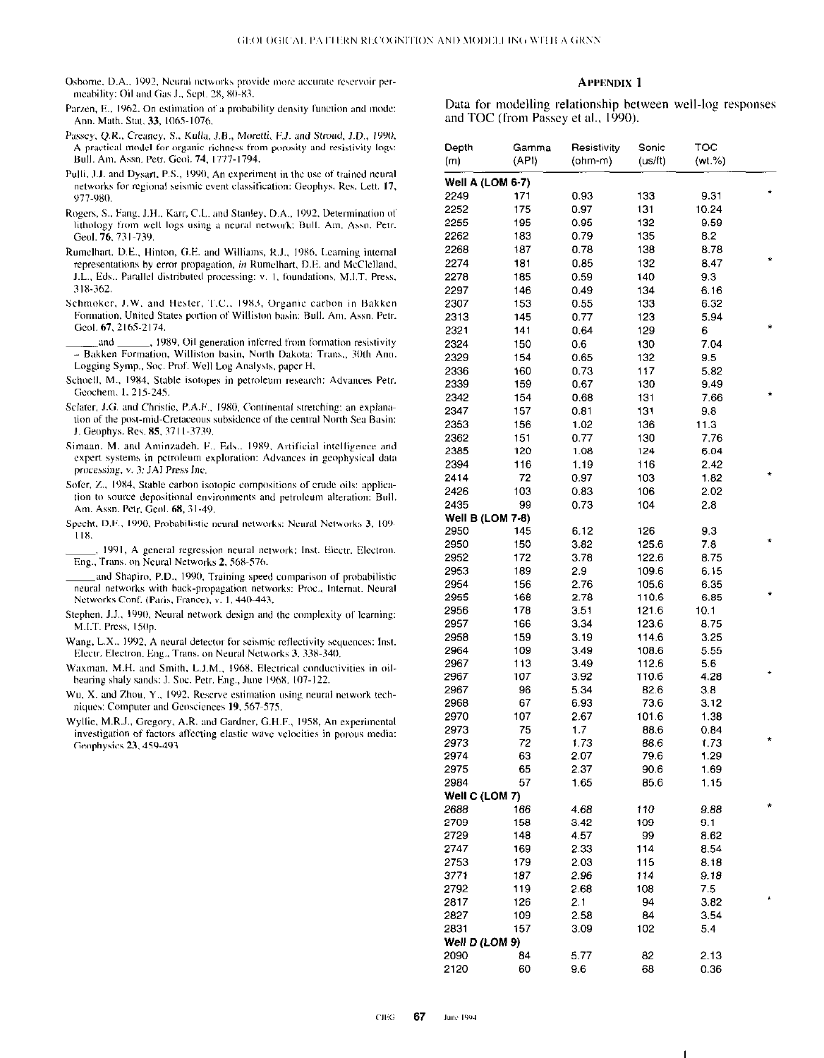- Osborne, D.A., 1992, Neural networks provide more accurate reservoir permeability: Oil and Gas J., Sept. 28, 80-83.
- Parzen, E., 1962, On estimation of a probability density function and mode: Ann. Math. Stat. 33, 1065-1076.
- Passey, Q.R., Creaney, S., Kulla, J.B., Moretti, F.J. and Stroud, J.D., 1990, A practical model for organic richness from porosity and resistivity logs: Bull. Am. Assn. Petr. Geol. 74, 1777-1794.
- Pulli, J.J. and Dysart, P.S., 1990, An experiment in the use of trained neural networks for regional seismic event classification: Geophys. Res. Lett. 17, 977-980.
- Rogers, S., Fang, J.H., Karr, C.L. and Stanley, D.A., 1992, Determination of lithology from well logs using a neural network: Bull. Am. Assn. Petr. Geol. 76, 731-739.
- Rumelhart, D.E., Hinton, G.E. and Williams, R.J., 1986. Learning internal representations by error propagation, in Rumelhart, D.E. and McClelland, J.L., Eds., Parallel distributed processing: v. 1, foundations, M.I.T. Press, 318-362
- Schmoker, J.W. and Hester, T.C., 1983, Organic carbon in Bakken Formation, United States portion of Williston basin; Bull. Am. Assn. Petr. Geol. 67, 2165-2174.
- , 1989, Oil generation inferred from formation resistivity and - Bakken Formation, Williston basin, North Dakota: Trans., 30th Ann. Logging Symp., Soc. Prof. Well Log Analysts, paper H.
- Schoell, M., 1984, Stable isotopes in petroleum research: Advances Petr. Geochem. 1, 215-245.
- Sclater, J.G. and Christie, P.A.F., 1980, Continental stretching; an explanation of the post-mid-Cretaceous subsidence of the central North Sea Basin: J. Geophys. Res. 85, 3711-3739.
- Simaan, M. and Aminzadeh, F., Eds., 1989, Artificial intelligence and expert systems in petroleum exploration: Advances in geophysical data processing, v. 3: JAI Press Inc.
- Sofer, Z., 1984, Stable carbon isotopic compositions of crude oils: application to source depositional environments and petroleum alteration: Bull. Am. Assn. Petr. Geol. 68, 31-49.
- Specht, D.F., 1990, Probabilistic neural networks: Neural Networks 3, 109- $118.$
- 1991, A general regression neural network: Inst. Electr. Electron. Eng., Trans. on Neural Networks 2, 568-576.
- and Shapiro, P.D., 1990, Training speed comparison of probabilistic neural networks with back-propagation networks: Proc., Internat. Neural Networks Conf. (Paris, France), v. 1, 440-443.
- Stephen, J.J., 1990, Neural network design and the complexity of learning: M.I.T. Press, 150p
- Wang, L.X., 1992, A neural detector for seismic reflectivity sequences: Inst. Electr. Electron, Eng., Trans. on Neural Networks 3, 338-340.
- Waxman, M.H. and Smith, L.J.M., 1968, Electrical conductivities in oilbearing shaly sands: J. Soc. Petr. Eng., June 1968, 107-122.
- Wu, X. and Zhou, Y., 1992, Reserve estimation using neural network techniques: Computer and Geosciences 19, 567-575.
- Wyllie, M.R.J., Gregory, A.R. and Gardner, G.H.F., 1958, An experimental investigation of factors affecting elastic wave velocities in porous media: Geophysics 23, 459-493

#### **APPENDIX 1**

Data for modelling relationship between well-log responses and TOC (from Passey et al., 1990).

| Depth                   | Gamma | Resistivity | Sonic   | TOC     |   |
|-------------------------|-------|-------------|---------|---------|---|
| (m)                     | (API) | $(ohm-m)$   | (us/ft) | (wt. %) |   |
| <b>Well A (LOM 6-7)</b> |       |             |         |         |   |
| 2249                    | 171   | 0.93        | 133     | 9.31    |   |
| 2252                    | 175   | 0.97        | 131     | 10.24   |   |
| 2255                    | 195   | 0.95        | 132     | 9.59    |   |
| 2262                    | 183   | 079         | 135     | 8.2     |   |
| 2268                    | 187   | 0.78        | 138     | 8.78    |   |
| 2274                    | 181   | 0.85        | 132     | 8.47    |   |
| 2278                    | 185   | 0.59        | 140     | 9.3     |   |
| 2297                    | 146   | 0.49        | 134     | 6.16    |   |
| 2307                    | 153   | 0.55        | 133     | 6.32    |   |
| 2313                    | 145   | 0.77        | 123     | 5.94    |   |
| 2321                    | 141   | 0.64        | 129     | 6       | * |
| 2324                    | 150   | 06          | 130     | 7.04    |   |
| 2329                    | 154   | 0.65        | 132     | 9.5     |   |
| 2336                    | 160   | 0.73        | 117     | 5.82    |   |
| 2339                    | 159   | 0.67        | 130     | 9.49    |   |
| 2342                    | 154   | 0.68        | 131     | 7.66    |   |
| 2347                    | 157   | 0.81        | 131     | 9.8     |   |
| 2353                    | 156   | 1.02        | 136     | 11.3    |   |
| 2362                    | 151   | 0.77        | 130     | 7.76    |   |
| 2385                    | 120   | 1.08        | 124     | 6.04    |   |
| 2394                    | 116   | 1.19        | 116     | 2.42    |   |
| 2414                    | 72    | 0.97        | 103     | 1.82    |   |
| 2426                    | 103   | 0.83        | 106     | 2.02    |   |
| 2435                    | 99    | 0.73        | 104     | 2.8     |   |
| Well B (LOM 7-8)        |       |             |         |         |   |
| 2950                    | 145   | 6.12        | 126     | 9.3     |   |
| 2950                    | 150   | 3.82        | 125.6   | 7.8     |   |
| 2952                    | 172   | 378         | 122.6   | 8.75    |   |
| 2953                    | 189   | 29          | 109.6   | 6.15    |   |
| 2954                    | 156   | 2.76        | 105.6   | 6.35    |   |
| 2955                    | 168   | 2.78        | 110.6   | 6.85    |   |
| 2956                    | 178   | 3.51        | 121.6   | 10.1    |   |
| 2957                    | 166   | 3.34        | 123.6   | 8.75    |   |
| 2958                    | 159   | 3.19        | 114.6   | 3.25    |   |
| 2964                    | 109   | 3.49        | 108.6   | 5.55    |   |
| 2967                    | 113   | 3.49        | 112.6   | 5.6     |   |
| 2967                    | 107   | 3.92        | 110.6   | 4.28    |   |
| 2967                    | 96    | 5.34        | 82.6    | 3.8     |   |
| 2968                    | 67    | 6.93        | 73.6    | 3.12    |   |
| 2970                    | 107   | 2.67        | 101.6   | 1.38    |   |
| 2973                    | 75    | 1.7         | 88.6    | 0.84    |   |
| 2973                    | 72    | 1.73        | 88.6    | 1.73    |   |
| 2974                    | 63    | 2.07        | 79.6    | 1.29    |   |
| 2975                    | 65    | 2.37        | 90.6    | 1.69    |   |
| 2984                    | 57    | 1.65        | 85.6    | 1.15    |   |
| Well C (LOM 7)          |       |             |         |         |   |
| 2688                    | 166   | 4.68        | 110     | 9.88    |   |
| 2709                    | 158   | 3.42        | 109     | 9.1     |   |
| 2729                    | 148   | 457         | 99      | 8.62    |   |
| 2747                    | 169   | 2 33        | 114     | 8.54    |   |
| 2753                    | 179   | 2.03        | 115     | 8.18    |   |
| 3771                    | 187   | 2.96        | 114     | 9.18    |   |
| 2792                    | 119   | 2.68        | 108     | 7.5     |   |
| 2817                    | 126   | 2.1         | 94      | 3.82    |   |
| 2827                    | 109   | 2.58        | 84      | 3.54    |   |
| 2831                    | 157   | 3.09        | 102     | 5.4     |   |
| Well D (LOM 9)          |       |             |         |         |   |
| 2090                    | 84    | 5.77        | 82      | 2.13    |   |
| 2120                    | 60    | 9.6         | 68      | 0.36    |   |
|                         |       |             |         |         |   |